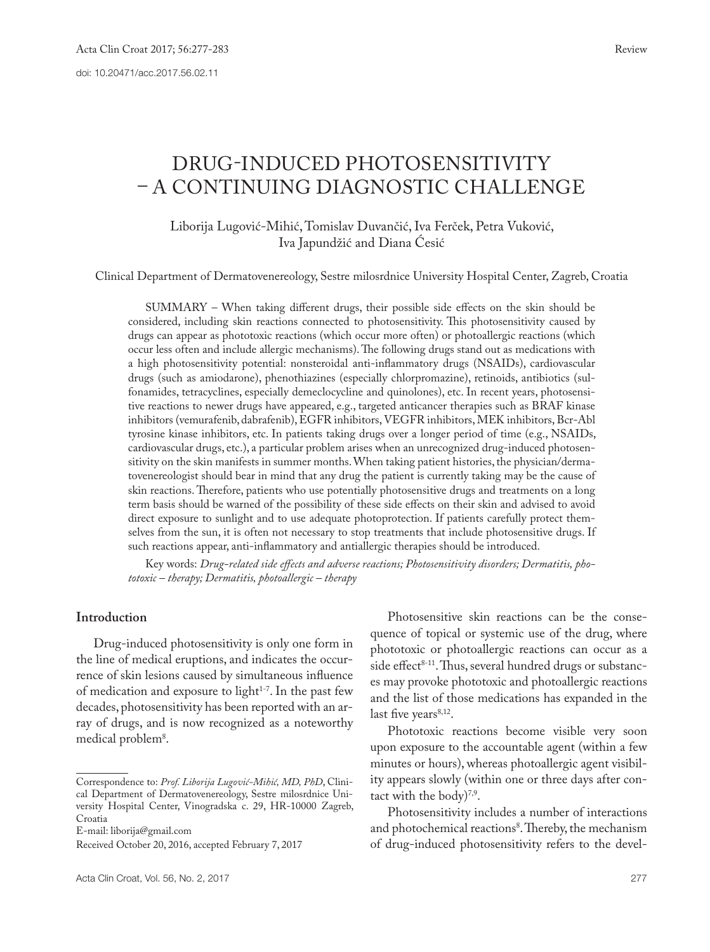# DRUG-INDUCED PHOTOSENSITIVITY – A CONTINUING DIAGNOSTIC CHALLENGE

## Liborija Lugović-Mihić, Tomislav Duvančić, Iva Ferček, Petra Vuković, Iva Japundžić and Diana Ćesić

Clinical Department of Dermatovenereology, Sestre milosrdnice University Hospital Center, Zagreb, Croatia

SUMMARY – When taking different drugs, their possible side effects on the skin should be considered, including skin reactions connected to photosensitivity. This photosensitivity caused by drugs can appear as phototoxic reactions (which occur more often) or photoallergic reactions (which occur less often and include allergic mechanisms). The following drugs stand out as medications with a high photosensitivity potential: nonsteroidal anti-inflammatory drugs (NSAIDs), cardiovascular drugs (such as amiodarone), phenothiazines (especially chlorpromazine), retinoids, antibiotics (sulfonamides, tetracyclines, especially demeclocycline and quinolones), etc. In recent years, photosensitive reactions to newer drugs have appeared, e.g., targeted anticancer therapies such as BRAF kinase inhibitors (vemurafenib, dabrafenib), EGFR inhibitors, VEGFR inhibitors, MEK inhibitors, Bcr-Abl tyrosine kinase inhibitors, etc. In patients taking drugs over a longer period of time (e.g., NSAIDs, cardiovascular drugs, etc.), a particular problem arises when an unrecognized drug-induced photosensitivity on the skin manifests in summer months. When taking patient histories, the physician/dermatovenereologist should bear in mind that any drug the patient is currently taking may be the cause of skin reactions. Therefore, patients who use potentially photosensitive drugs and treatments on a long term basis should be warned of the possibility of these side effects on their skin and advised to avoid direct exposure to sunlight and to use adequate photoprotection. If patients carefully protect themselves from the sun, it is often not necessary to stop treatments that include photosensitive drugs. If such reactions appear, anti-inflammatory and antiallergic therapies should be introduced.

Key words: *Drug-related side eff ects and adverse reactions; Photosensitivity disorders; Dermatitis, phototoxic – therapy; Dermatitis, photoallergic – therapy*

### **Introduction**

Drug-induced photosensitivity is only one form in the line of medical eruptions, and indicates the occurrence of skin lesions caused by simultaneous influence of medication and exposure to light<sup>1-7</sup>. In the past few decades, photosensitivity has been reported with an array of drugs, and is now recognized as a noteworthy medical problem<sup>8</sup>.

E-mail: liborija@gmail.com

Photosensitive skin reactions can be the consequence of topical or systemic use of the drug, where phototoxic or photoallergic reactions can occur as a side effect<sup>8-11</sup>. Thus, several hundred drugs or substances may provoke phototoxic and photoallergic reactions and the list of those medications has expanded in the last five years<sup>8,12</sup>.

Phototoxic reactions become visible very soon upon exposure to the accountable agent (within a few minutes or hours), whereas photoallergic agent visibility appears slowly (within one or three days after contact with the body)7,9.

Photosensitivity includes a number of interactions and photochemical reactions<sup>8</sup>. Thereby, the mechanism of drug-induced photosensitivity refers to the devel-

Correspondence to: *Prof. Liborija Lugović-Mihić, MD, PhD*, Clinical Department of Dermatovenereology, Sestre milosrdnice University Hospital Center, Vinogradska c. 29, HR-10000 Zagreb, Croatia

Received October 20, 2016, accepted February 7, 2017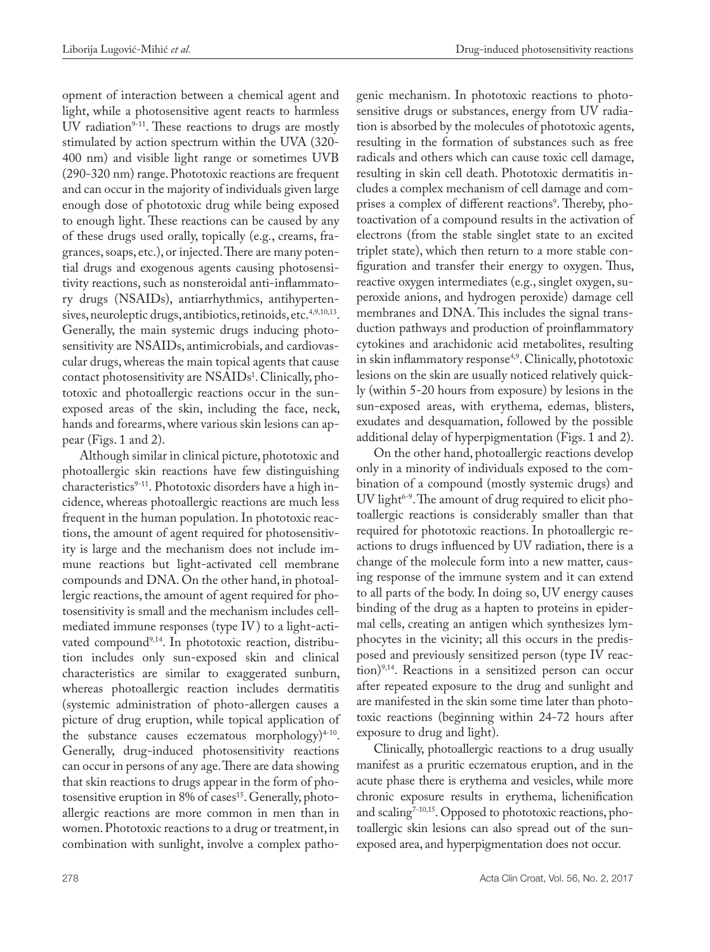opment of interaction between a chemical agent and light, while a photosensitive agent reacts to harmless UV radiation $9-11$ . These reactions to drugs are mostly stimulated by action spectrum within the UVA (320- 400 nm) and visible light range or sometimes UVB (290-320 nm) range. Phototoxic reactions are frequent and can occur in the majority of individuals given large enough dose of phototoxic drug while being exposed to enough light. These reactions can be caused by any of these drugs used orally, topically (e.g., creams, fragrances, soaps, etc.), or injected. There are many potential drugs and exogenous agents causing photosensitivity reactions, such as nonsteroidal anti-inflammatory drugs (NSAIDs), antiarrhythmics, antihypertensives, neuroleptic drugs, antibiotics, retinoids, etc.<sup>4,9,10,13</sup>. Generally, the main systemic drugs inducing photosensitivity are NSAIDs, antimicrobials, and cardiovascular drugs, whereas the main topical agents that cause contact photosensitivity are NSAIDs<sup>1</sup>. Clinically, phototoxic and photoallergic reactions occur in the sunexposed areas of the skin, including the face, neck, hands and forearms, where various skin lesions can appear (Figs. 1 and 2).

Although similar in clinical picture, phototoxic and photoallergic skin reactions have few distinguishing characteristics<sup>9-11</sup>. Phototoxic disorders have a high incidence, whereas photoallergic reactions are much less frequent in the human population. In phototoxic reactions, the amount of agent required for photosensitivity is large and the mechanism does not include immune reactions but light-activated cell membrane compounds and DNA. On the other hand, in photoallergic reactions, the amount of agent required for photosensitivity is small and the mechanism includes cellmediated immune responses (type IV) to a light-activated compound<sup>9,14</sup>. In phototoxic reaction, distribution includes only sun-exposed skin and clinical characteristics are similar to exaggerated sunburn, whereas photoallergic reaction includes dermatitis (systemic administration of photo-allergen causes a picture of drug eruption, while topical application of the substance causes eczematous morphology $)^{4-10}$ . Generally, drug-induced photosensitivity reactions can occur in persons of any age. There are data showing that skin reactions to drugs appear in the form of photosensitive eruption in 8% of cases<sup>15</sup>. Generally, photoallergic reactions are more common in men than in women. Phototoxic reactions to a drug or treatment, in combination with sunlight, involve a complex pathogenic mechanism. In phototoxic reactions to photosensitive drugs or substances, energy from UV radiation is absorbed by the molecules of phototoxic agents, resulting in the formation of substances such as free radicals and others which can cause toxic cell damage, resulting in skin cell death. Phototoxic dermatitis includes a complex mechanism of cell damage and comprises a complex of different reactions<sup>9</sup>. Thereby, photoactivation of a compound results in the activation of electrons (from the stable singlet state to an excited triplet state), which then return to a more stable configuration and transfer their energy to oxygen. Thus, reactive oxygen intermediates (e.g., singlet oxygen, superoxide anions, and hydrogen peroxide) damage cell membranes and DNA. This includes the signal transduction pathways and production of proinflammatory cytokines and arachidonic acid metabolites, resulting in skin inflammatory response<sup>4,9</sup>. Clinically, phototoxic lesions on the skin are usually noticed relatively quickly (within 5-20 hours from exposure) by lesions in the sun-exposed areas, with erythema, edemas, blisters, exudates and desquamation, followed by the possible additional delay of hyperpigmentation (Figs. 1 and 2).

On the other hand, photoallergic reactions develop only in a minority of individuals exposed to the combination of a compound (mostly systemic drugs) and UV light $6-9$ . The amount of drug required to elicit photoallergic reactions is considerably smaller than that required for phototoxic reactions. In photoallergic reactions to drugs influenced by UV radiation, there is a change of the molecule form into a new matter, causing response of the immune system and it can extend to all parts of the body. In doing so, UV energy causes binding of the drug as a hapten to proteins in epidermal cells, creating an antigen which synthesizes lymphocytes in the vicinity; all this occurs in the predisposed and previously sensitized person (type IV reaction)9,14. Reactions in a sensitized person can occur after repeated exposure to the drug and sunlight and are manifested in the skin some time later than phototoxic reactions (beginning within 24-72 hours after exposure to drug and light).

Clinically, photoallergic reactions to a drug usually manifest as a pruritic eczematous eruption, and in the acute phase there is erythema and vesicles, while more chronic exposure results in erythema, lichenification and scaling<sup>7-10,15</sup>. Opposed to phototoxic reactions, photoallergic skin lesions can also spread out of the sunexposed area, and hyperpigmentation does not occur.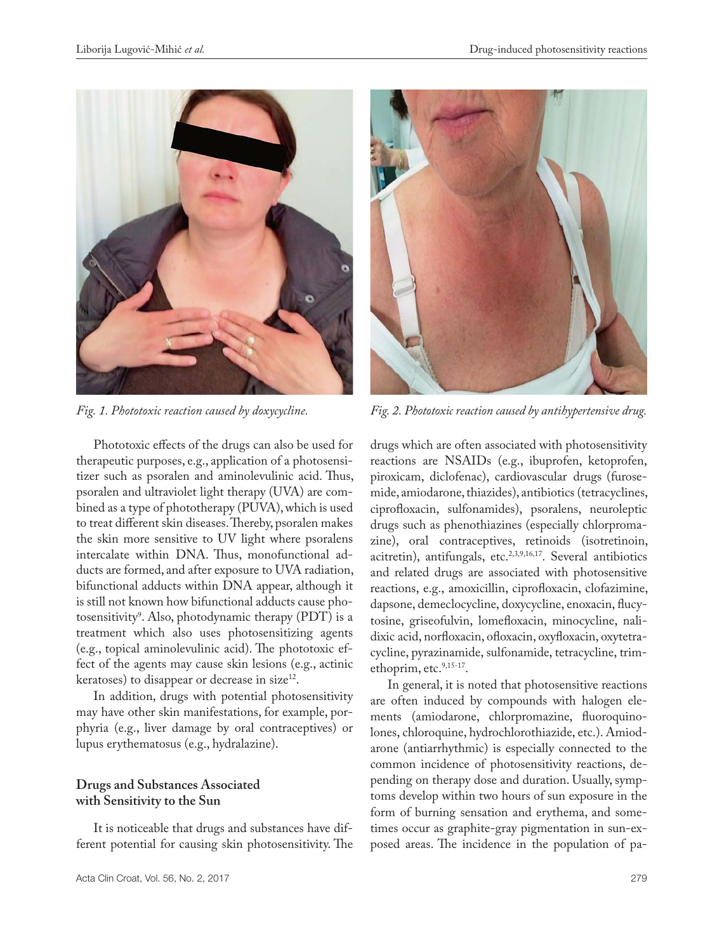

Phototoxic effects of the drugs can also be used for therapeutic purposes, e.g., application of a photosensitizer such as psoralen and aminolevulinic acid. Thus, psoralen and ultraviolet light therapy (UVA) are combined as a type of phototherapy (PUVA), which is used to treat different skin diseases. Thereby, psoralen makes the skin more sensitive to UV light where psoralens intercalate within DNA. Thus, monofunctional adducts are formed, and after exposure to UVA radiation, bifunctional adducts within DNA appear, although it is still not known how bifunctional adducts cause photosensitivity<sup>9</sup>. Also, photodynamic therapy (PDT) is a treatment which also uses photosensitizing agents  $(e.g.,$  topical aminolevulinic acid). The phototoxic effect of the agents may cause skin lesions (e.g., actinic keratoses) to disappear or decrease in size<sup>12</sup>.

In addition, drugs with potential photosensitivity may have other skin manifestations, for example, porphyria (e.g., liver damage by oral contraceptives) or lupus erythematosus (e.g., hydralazine).

# **Drugs and Substances Associated with Sensitivity to the Sun**

It is noticeable that drugs and substances have different potential for causing skin photosensitivity. The



*Fig. 1. Phototoxic reaction caused by doxycycline. Fig. 2. Phototoxic reaction caused by antihypertensive drug.*

drugs which are often associated with photosensitivity reactions are NSAIDs (e.g., ibuprofen, ketoprofen, piroxicam, diclofenac), cardiovascular drugs (furosemide, amiodarone, thiazides), antibiotics (tetracyclines, ciprofloxacin, sulfonamides), psoralens, neuroleptic drugs such as phenothiazines (especially chlorpromazine), oral contraceptives, retinoids (isotretinoin, acitretin), antifungals, etc.<sup>2,3,9,16,17</sup>. Several antibiotics and related drugs are associated with photosensitive reactions, e.g., amoxicillin, ciprofloxacin, clofazimine, dapsone, demeclocycline, doxycycline, enoxacin, flucytosine, griseofulvin, lomefloxacin, minocycline, nalidixic acid, norfloxacin, ofloxacin, oxyfloxacin, oxytetracycline, pyrazinamide, sulfonamide, tetracycline, trimethoprim, etc.<sup>9,15-17</sup>.

In general, it is noted that photosensitive reactions are often induced by compounds with halogen elements (amiodarone, chlorpromazine, fluoroquinolones, chloroquine, hydrochlorothiazide, etc.). Amiodarone (antiarrhythmic) is especially connected to the common incidence of photosensitivity reactions, depending on therapy dose and duration. Usually, symptoms develop within two hours of sun exposure in the form of burning sensation and erythema, and sometimes occur as graphite-gray pigmentation in sun-exposed areas. The incidence in the population of pa-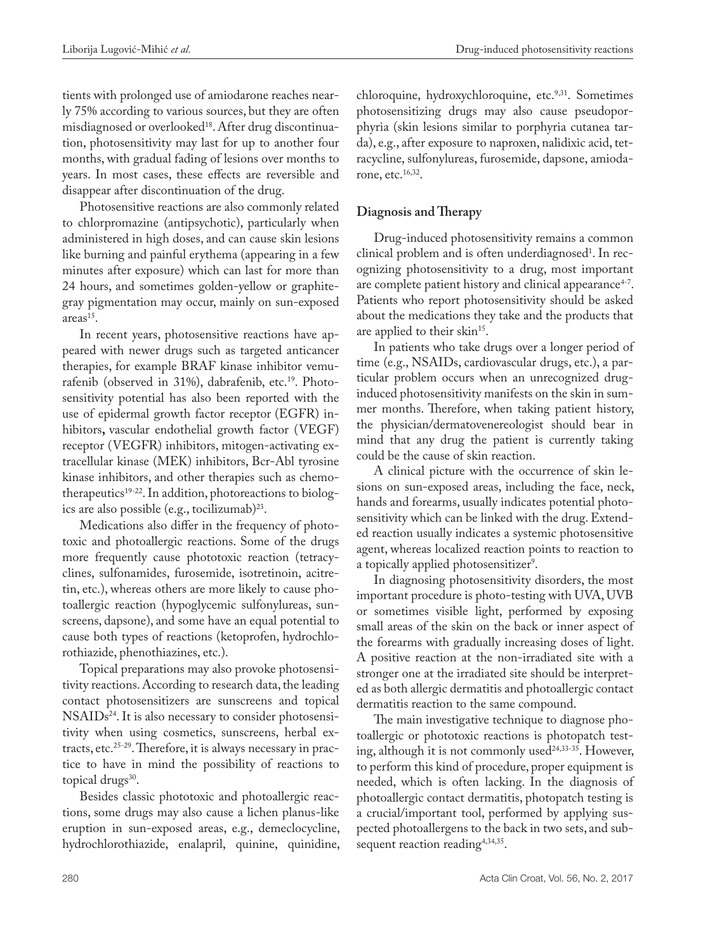tients with prolonged use of amiodarone reaches nearly 75% according to various sources, but they are often misdiagnosed or overlooked<sup>18</sup>. After drug discontinuation, photosensitivity may last for up to another four months, with gradual fading of lesions over months to years. In most cases, these effects are reversible and disappear after discontinuation of the drug.

Photosensitive reactions are also commonly related to chlorpromazine (antipsychotic), particularly when administered in high doses, and can cause skin lesions like burning and painful erythema (appearing in a few minutes after exposure) which can last for more than 24 hours, and sometimes golden-yellow or graphitegray pigmentation may occur, mainly on sun-exposed areas<sup>15</sup>.

In recent years, photosensitive reactions have appeared with newer drugs such as targeted anticancer therapies, for example BRAF kinase inhibitor vemurafenib (observed in 31%), dabrafenib, etc.<sup>19</sup>. Photosensitivity potential has also been reported with the use of epidermal growth factor receptor (EGFR) inhibitors**,** vascular endothelial growth factor (VEGF) receptor (VEGFR) inhibitors, mitogen-activating extracellular kinase (MEK) inhibitors, Bcr-Abl tyrosine kinase inhibitors, and other therapies such as chemotherapeutics<sup>19-22</sup>. In addition, photoreactions to biologics are also possible (e.g., tocilizumab)23.

Medications also differ in the frequency of phototoxic and photoallergic reactions. Some of the drugs more frequently cause phototoxic reaction (tetracyclines, sulfonamides, furosemide, isotretinoin, acitretin, etc.), whereas others are more likely to cause photoallergic reaction (hypoglycemic sulfonylureas, sunscreens, dapsone), and some have an equal potential to cause both types of reactions (ketoprofen, hydrochlorothiazide, phenothiazines, etc.).

Topical preparations may also provoke photosensitivity reactions. According to research data, the leading contact photosensitizers are sunscreens and topical NSAIDs<sup>24</sup>. It is also necessary to consider photosensitivity when using cosmetics, sunscreens, herbal extracts, etc.<sup>25-29</sup>. Therefore, it is always necessary in practice to have in mind the possibility of reactions to topical drugs<sup>30</sup>.

Besides classic phototoxic and photoallergic reactions, some drugs may also cause a lichen planus-like eruption in sun-exposed areas, e.g., demeclocycline, hydrochlorothiazide, enalapril, quinine, quinidine,

chloroquine, hydroxychloroquine, etc.<sup>9,31</sup>. Sometimes photosensitizing drugs may also cause pseudoporphyria (skin lesions similar to porphyria cutanea tarda), e.g., after exposure to naproxen, nalidixic acid, tetracycline, sulfonylureas, furosemide, dapsone, amiodarone, etc.16,32.

### **Diagnosis and Therapy**

Drug-induced photosensitivity remains a common clinical problem and is often underdiagnosed<sup>1</sup>. In recognizing photosensitivity to a drug, most important are complete patient history and clinical appearance<sup>4-7</sup>. Patients who report photosensitivity should be asked about the medications they take and the products that are applied to their skin<sup>15</sup>.

In patients who take drugs over a longer period of time (e.g., NSAIDs, cardiovascular drugs, etc.), a particular problem occurs when an unrecognized druginduced photosensitivity manifests on the skin in summer months. Therefore, when taking patient history, the physician/dermatovenereologist should bear in mind that any drug the patient is currently taking could be the cause of skin reaction.

A clinical picture with the occurrence of skin lesions on sun-exposed areas, including the face, neck, hands and forearms, usually indicates potential photosensitivity which can be linked with the drug. Extended reaction usually indicates a systemic photosensitive agent, whereas localized reaction points to reaction to a topically applied photosensitizer<sup>9</sup>.

In diagnosing photosensitivity disorders, the most important procedure is photo-testing with UVA, UVB or sometimes visible light, performed by exposing small areas of the skin on the back or inner aspect of the forearms with gradually increasing doses of light. A positive reaction at the non-irradiated site with a stronger one at the irradiated site should be interpreted as both allergic dermatitis and photoallergic contact dermatitis reaction to the same compound.

The main investigative technique to diagnose photoallergic or phototoxic reactions is photopatch testing, although it is not commonly used<sup>24,33-35</sup>. However, to perform this kind of procedure, proper equipment is needed, which is often lacking. In the diagnosis of photoallergic contact dermatitis, photopatch testing is a crucial/important tool, performed by applying suspected photoallergens to the back in two sets, and subsequent reaction reading<sup>4,34,35</sup>.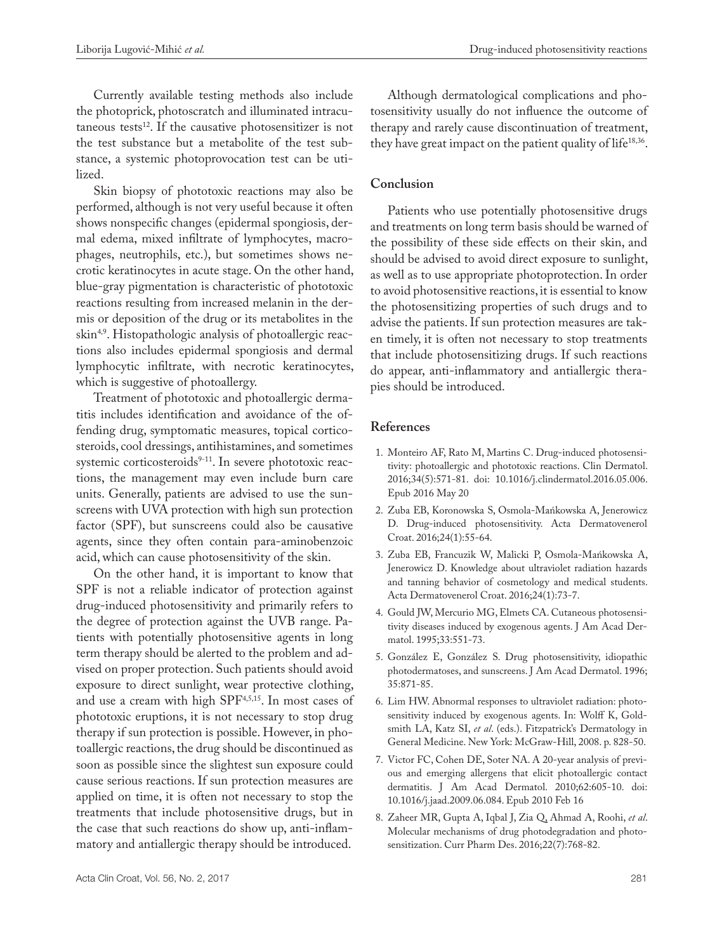Currently available testing methods also include the photoprick, photoscratch and illuminated intracutaneous tests $^{12}$ . If the causative photosensitizer is not the test substance but a metabolite of the test substance, a systemic photoprovocation test can be utilized.

Skin biopsy of phototoxic reactions may also be performed, although is not very useful because it often shows nonspecific changes (epidermal spongiosis, dermal edema, mixed infiltrate of lymphocytes, macrophages, neutrophils, etc.), but sometimes shows necrotic keratinocytes in acute stage. On the other hand, blue-gray pigmentation is characteristic of phototoxic reactions resulting from increased melanin in the dermis or deposition of the drug or its metabolites in the skin<sup>4,9</sup>. Histopathologic analysis of photoallergic reactions also includes epidermal spongiosis and dermal lymphocytic infiltrate, with necrotic keratinocytes, which is suggestive of photoallergy.

Treatment of phototoxic and photoallergic dermatitis includes identification and avoidance of the offending drug, symptomatic measures, topical corticosteroids, cool dressings, antihistamines, and sometimes systemic corticosteroids<sup>9-11</sup>. In severe phototoxic reactions, the management may even include burn care units. Generally, patients are advised to use the sunscreens with UVA protection with high sun protection factor (SPF), but sunscreens could also be causative agents, since they often contain para-aminobenzoic acid, which can cause photosensitivity of the skin.

On the other hand, it is important to know that SPF is not a reliable indicator of protection against drug-induced photosensitivity and primarily refers to the degree of protection against the UVB range. Patients with potentially photosensitive agents in long term therapy should be alerted to the problem and advised on proper protection. Such patients should avoid exposure to direct sunlight, wear protective clothing, and use a cream with high SPF4,5,15. In most cases of phototoxic eruptions, it is not necessary to stop drug therapy if sun protection is possible. However, in photoallergic reactions, the drug should be discontinued as soon as possible since the slightest sun exposure could cause serious reactions. If sun protection measures are applied on time, it is often not necessary to stop the treatments that include photosensitive drugs, but in the case that such reactions do show up, anti-inflammatory and antiallergic therapy should be introduced.

Although dermatological complications and photosensitivity usually do not influence the outcome of therapy and rarely cause discontinuation of treatment, they have great impact on the patient quality of life<sup>18,36</sup>.

## **Conclusion**

Patients who use potentially photosensitive drugs and treatments on long term basis should be warned of the possibility of these side effects on their skin, and should be advised to avoid direct exposure to sunlight, as well as to use appropriate photoprotection. In order to avoid photosensitive reactions, it is essential to know the photosensitizing properties of such drugs and to advise the patients. If sun protection measures are taken timely, it is often not necessary to stop treatments that include photosensitizing drugs. If such reactions do appear, anti-inflammatory and antiallergic therapies should be introduced.

# **References**

- 1. Monteiro AF, Rato M, Martins C. Drug-induced photosensitivity: photoallergic and phototoxic reactions. Clin Dermatol. 2016;34(5):571-81. doi: 10.1016/j.clindermatol.2016.05.006. Epub 2016 May 20
- 2. Zuba EB, Koronowska S, Osmola-Mańkowska A, Jenerowicz D. Drug-induced photosensitivity. Acta Dermatovenerol Croat. 2016;24(1):55-64.
- 3. Zuba EB, Francuzik W, Malicki P, Osmola-Mańkowska A, Jenerowicz D. Knowledge about ultraviolet radiation hazards and tanning behavior of cosmetology and medical students. Acta Dermatovenerol Croat. 2016;24(1):73-7.
- 4. Gould JW, Mercurio MG, Elmets CA. Cutaneous photosensitivity diseases induced by exogenous agents. J Am Acad Dermatol. 1995;33:551-73.
- 5. González E, González S. Drug photosensitivity, idiopathic photodermatoses, and sunscreens. J Am Acad Dermatol. 1996; 35:871-85.
- 6. Lim HW. Abnormal responses to ultraviolet radiation: photosensitivity induced by exogenous agents. In: Wolff K, Goldsmith LA, Katz SI, *et al*. (eds.). Fitzpatrick's Dermatology in General Medicine. New York: McGraw-Hill, 2008. p. 828-50.
- 7. Victor FC, Cohen DE, Soter NA. A 20-year analysis of previous and emerging allergens that elicit photoallergic contact dermatitis. J Am Acad Dermatol. 2010;62:605-10. doi: 10.1016/j.jaad.2009.06.084. Epub 2010 Feb 16
- 8. Zaheer MR, Gupta A, Iqbal J, Zia Q, Ahmad A, Roohi, *et al*. Molecular mechanisms of drug photodegradation and photosensitization. Curr Pharm Des. 2016;22(7):768-82.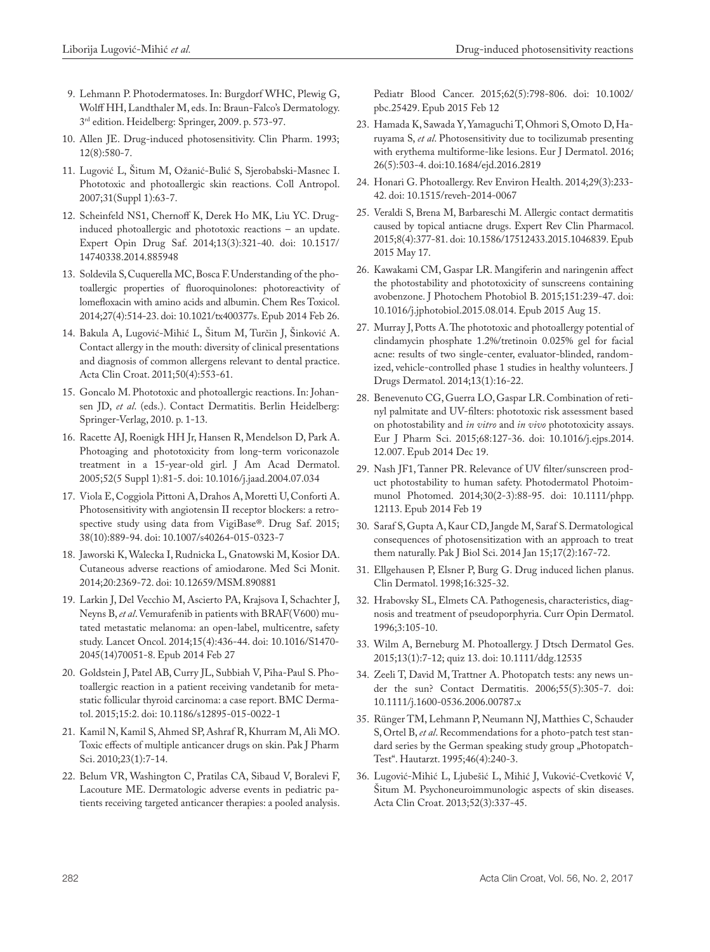- 9. Lehmann P. Photodermatoses. In: Burgdorf WHC, Plewig G, Wolff HH, Landthaler M, eds. In: Braun-Falco's Dermatology. 3rd edition. Heidelberg: Springer, 2009. p. 573-97.
- 10. Allen JE. Drug-induced photosensitivity. Clin Pharm. 1993; 12(8):580-7.
- 11. Lugović L, Šitum M, Ožanić-Bulić S, Sjerobabski-Masnec I. Phototoxic and photoallergic skin reactions. Coll Antropol. 2007;31(Suppl 1):63-7.
- 12. Scheinfeld NS1, Chernoff K, Derek Ho MK, Liu YC. Druginduced photoallergic and phototoxic reactions – an update. Expert Opin Drug Saf. 2014;13(3):321-40. doi: 10.1517/ 14740338.2014.885948
- 13. Soldevila S, Cuquerella MC, Bosca F. Understanding of the photoallergic properties of fluoroquinolones: photoreactivity of lomefloxacin with amino acids and albumin. Chem Res Toxicol. 2014;27(4):514-23. doi: 10.1021/tx400377s. Epub 2014 Feb 26.
- 14. Bakula A, Lugović-Mihić L, Šitum M, Turčin J, Šinković A. Contact allergy in the mouth: diversity of clinical presentations and diagnosis of common allergens relevant to dental practice. Acta Clin Croat. 2011;50(4):553-61.
- 15. Goncalo M. Phototoxic and photoallergic reactions. In: Johansen JD, *et al*. (eds.). Contact Dermatitis. Berlin Heidelberg: Springer-Verlag, 2010. p. 1-13.
- 16. Racette AJ, Roenigk HH Jr, Hansen R, Mendelson D, Park A. Photoaging and phototoxicity from long-term voriconazole treatment in a 15-year-old girl. J Am Acad Dermatol. 2005;52(5 Suppl 1):81-5. doi: 10.1016/j.jaad.2004.07.034
- 17. Viola E, Coggiola Pittoni A, Drahos A, Moretti U, Conforti A. Photosensitivity with angiotensin II receptor blockers: a retrospective study using data from VigiBase®. Drug Saf. 2015; 38(10):889-94. doi: 10.1007/s40264-015-0323-7
- 18. Jaworski K, Walecka I, Rudnicka L, Gnatowski M, Kosior DA. Cutaneous adverse reactions of amiodarone. Med Sci Monit. 2014;20:2369-72. doi: 10.12659/MSM.890881
- 19. Larkin J, Del Vecchio M, Ascierto PA, Krajsova I, Schachter J, Neyns B, *et al*. Vemurafenib in patients with BRAF(V600) mutated metastatic melanoma: an open-label, multicentre, safety study. Lancet Oncol. 2014;15(4):436-44. doi: 10.1016/S1470- 2045(14)70051-8. Epub 2014 Feb 27
- 20. Goldstein J, Patel AB, Curry JL, Subbiah V, Piha-Paul S. Photoallergic reaction in a patient receiving vandetanib for metastatic follicular thyroid carcinoma: a case report. BMC Dermatol. 2015;15:2. doi: 10.1186/s12895-015-0022-1
- 21. Kamil N, Kamil S, Ahmed SP, Ashraf R, Khurram M, Ali MO. Toxic effects of multiple anticancer drugs on skin. Pak J Pharm Sci. 2010;23(1):7-14.
- 22. Belum VR, Washington C, Pratilas CA, Sibaud V, Boralevi F, Lacouture ME. Dermatologic adverse events in pediatric patients receiving targeted anticancer therapies: a pooled analysis.

Pediatr Blood Cancer. 2015;62(5):798-806. doi: 10.1002/ pbc.25429. Epub 2015 Feb 12

- 23. Hamada K, Sawada Y, Yamaguchi T, Ohmori S, Omoto D, Haruyama S, *et al*. Photosensitivity due to tocilizumab presenting with erythema multiforme-like lesions. Eur J Dermatol. 2016; 26(5):503-4. doi:10.1684/ejd.2016.2819
- 24. Honari G. Photoallergy. Rev Environ Health. 2014;29(3):233- 42. doi: 10.1515/reveh-2014-0067
- 25. Veraldi S, Brena M, Barbareschi M. Allergic contact dermatitis caused by topical antiacne drugs. Expert Rev Clin Pharmacol. 2015;8(4):377-81. doi: 10.1586/17512433.2015.1046839. Epub 2015 May 17.
- 26. Kawakami CM, Gaspar LR. Mangiferin and naringenin affect the photostability and phototoxicity of sunscreens containing avobenzone. J Photochem Photobiol B. 2015;151:239-47. doi: 10.1016/j.jphotobiol.2015.08.014. Epub 2015 Aug 15.
- 27. Murray J, Potts A. The phototoxic and photoallergy potential of clindamycin phosphate 1.2%/tretinoin 0.025% gel for facial acne: results of two single-center, evaluator-blinded, randomized, vehicle-controlled phase 1 studies in healthy volunteers. J Drugs Dermatol. 2014;13(1):16-22.
- 28. Benevenuto CG, Guerra LO, Gaspar LR. Combination of retinyl palmitate and UV-filters: phototoxic risk assessment based on photostability and *in vitro* and *in vivo* phototoxicity assays. Eur J Pharm Sci. 2015;68:127-36. doi: 10.1016/j.ejps.2014. 12.007. Epub 2014 Dec 19.
- 29. Nash JF1, Tanner PR. Relevance of UV filter/sunscreen product photostability to human safety. Photodermatol Photoimmunol Photomed. 2014;30(2-3):88-95. doi: 10.1111/phpp. 12113. Epub 2014 Feb 19
- 30. Saraf S, Gupta A, Kaur CD, Jangde M, Saraf S. Dermatological consequences of photosensitization with an approach to treat them naturally. Pak J Biol Sci. 2014 Jan 15;17(2):167-72.
- 31. Ellgehausen P, Elsner P, Burg G. Drug induced lichen planus. Clin Dermatol. 1998;16:325-32.
- 32. Hrabovsky SL, Elmets CA. Pathogenesis, characteristics, diagnosis and treatment of pseudoporphyria. Curr Opin Dermatol. 1996;3:105-10.
- 33. Wilm A, Berneburg M. Photoallergy. J Dtsch Dermatol Ges. 2015;13(1):7-12; quiz 13. doi: 10.1111/ddg.12535
- 34. Zeeli T, David M, Trattner A. Photopatch tests: any news under the sun? Contact Dermatitis. 2006;55(5):305-7. doi: 10.1111/j.1600-0536.2006.00787.x
- 35. Rünger TM, Lehmann P, Neumann NJ, Matthies C, Schauder S, Ortel B, *et al*. Recommendations for a photo-patch test standard series by the German speaking study group "Photopatch-Test". Hautarzt. 1995;46(4):240-3.
- 36. Lugović-Mihić L, Ljubešić L, Mihić J, Vuković-Cvetković V, Šitum M. Psychoneuroimmunologic aspects of skin diseases. Acta Clin Croat. 2013;52(3):337-45.